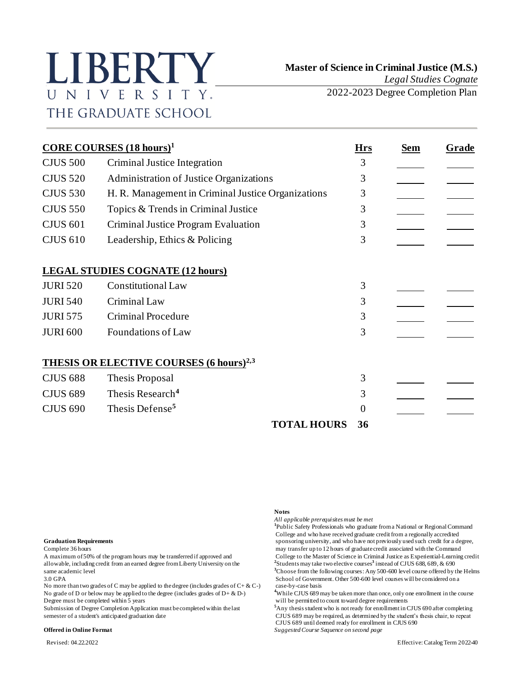# LIBERTY UNIVERSITY. THE GRADUATE SCHOOL

2022-2023 Degree Completion Plan

|                 | <b>CORE COURSES</b> $(18 \text{ hours})^1$<br><b>Hrs</b>  |                    |    | <b>Sem</b> | Grade |
|-----------------|-----------------------------------------------------------|--------------------|----|------------|-------|
| <b>CJUS 500</b> | Criminal Justice Integration                              |                    | 3  |            |       |
| <b>CJUS 520</b> | Administration of Justice Organizations                   |                    | 3  |            |       |
| <b>CJUS 530</b> | H. R. Management in Criminal Justice Organizations        |                    | 3  |            |       |
| <b>CJUS 550</b> | Topics & Trends in Criminal Justice                       |                    | 3  |            |       |
| <b>CJUS 601</b> | Criminal Justice Program Evaluation                       |                    | 3  |            |       |
| <b>CJUS 610</b> | Leadership, Ethics & Policing                             |                    | 3  |            |       |
|                 | <b>LEGAL STUDIES COGNATE (12 hours)</b>                   |                    |    |            |       |
| <b>JURI 520</b> | <b>Constitutional Law</b>                                 |                    | 3  |            |       |
| <b>JURI 540</b> | Criminal Law                                              |                    | 3  |            |       |
| <b>JURI 575</b> | <b>Criminal Procedure</b>                                 |                    | 3  |            |       |
| <b>JURI 600</b> | Foundations of Law                                        |                    | 3  |            |       |
|                 | <b>THESIS OR ELECTIVE COURSES (6 hours)<sup>2,3</sup></b> |                    |    |            |       |
| <b>CJUS 688</b> | Thesis Proposal                                           |                    | 3  |            |       |
| <b>CJUS 689</b> | Thesis Research <sup>4</sup>                              |                    | 3  |            |       |
| <b>CJUS 690</b> | Thesis Defense <sup>5</sup>                               |                    | 0  |            |       |
|                 |                                                           | <b>TOTAL HOURS</b> | 36 |            |       |

allowable, including credit from an earned degree from Liberty University on the **<sup>2</sup>**

No more than two grades of C may be applied to the degree (includes grades of  $C + \& C$ -) No grade of D or below may be applied to the degree (includes grades of  $D + \& D$ -) Degree must be completed within 5 years will be permitted to count toward degree requirements

#### **Offered in Online Format** *Suggested Course Sequence on second page*

#### **Notes**

*All applicable prerequisites must be met* **1** Public Safety Professionals who graduate from a National or Regional Command College and who have received graduate credit from a regionally accredited **Graduation Requirements** sponsoring university, and who have not previously used such credit for a degree, Complete 36 hours may transfer up to 12 hours of graduate credit associated with the Command A maximum of 50% of the program hours may be transferred if approved and College to the Master of Science in Criminal Justice as Experiential-Learning credit Students may take two elective courses**<sup>3</sup>** instead of CJUS 688, 689, & 690 same academic level **<sup>3</sup>**Choose from the following courses: Any 500-600 level course offered by the Helms 3.0 GPA<br>No more than two grades of C may be applied to the degree (includes grades of C+ & C-) case-by-case basis

<sup>4</sup>While CJUS 689 may be taken more than once, only one enrollment in the course

Submission of Degree Completion Application must be completed within the last <sup>5</sup>Any thesis student who is not ready for enrollment in CJUS 690 after completing semester of a student's anticipated graduation date CJUS 689 CJUS 689 may be required, as determined by the student's thesis chair, to repeat CJUS 689 until deemed ready for enrollment in CJUS 690